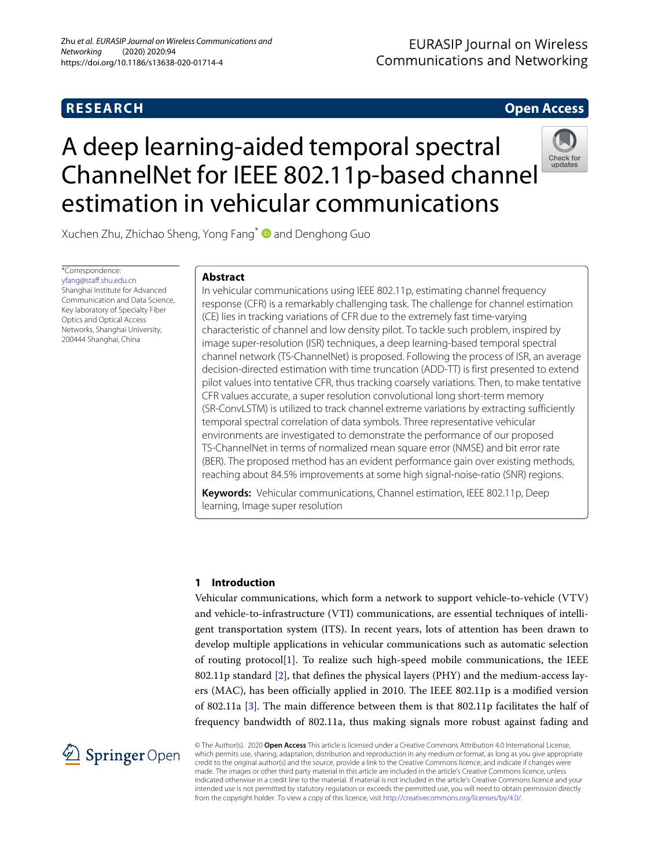# **RESEARCH Open Access**

## **EURASIP Journal on Wireless Communications and Networking**

# A deep learning-aided temporal spectral ChannelNet for IEEE 802.11p-based channel estimation in vehicular communications



Xuchen Zhu, Zhichao Sheng, Yong Fang<sup>\*</sup> and Denghong Guo

\*Correspondence: [yfang@staff.shu.edu.cn](mailto: yfang@staff.shu.edu.cn) Shanghai Institute for Advanced Communication and Data Science, Key laboratory of Specialty Fiber Optics and Optical Access Networks, Shanghai University, 200444 Shanghai, China

#### **Abstract**

In vehicular communications using IEEE 802.11p, estimating channel frequency response (CFR) is a remarkably challenging task. The challenge for channel estimation (CE) lies in tracking variations of CFR due to the extremely fast time-varying characteristic of channel and low density pilot. To tackle such problem, inspired by image super-resolution (ISR) techniques, a deep learning-based temporal spectral channel network (TS-ChannelNet) is proposed. Following the process of ISR, an average decision-directed estimation with time truncation (ADD-TT) is first presented to extend pilot values into tentative CFR, thus tracking coarsely variations. Then, to make tentative CFR values accurate, a super resolution convolutional long short-term memory (SR-ConvLSTM) is utilized to track channel extreme variations by extracting sufficiently temporal spectral correlation of data symbols. Three representative vehicular environments are investigated to demonstrate the performance of our proposed TS-ChannelNet in terms of normalized mean square error (NMSE) and bit error rate (BER). The proposed method has an evident performance gain over existing methods, reaching about 84.5% improvements at some high signal-noise-ratio (SNR) regions.

**Keywords:** Vehicular communications, Channel estimation, IEEE 802.11p, Deep learning, Image super resolution

#### **1 Introduction**

Vehicular communications, which form a network to support vehicle-to-vehicle (VTV) and vehicle-to-infrastructure (VTI) communications, are essential techniques of intelligent transportation system (ITS). In recent years, lots of attention has been drawn to develop multiple applications in vehicular communications such as automatic selection of routing protocol[\[1\]](#page-13-0). To realize such high-speed mobile communications, the IEEE 802.11p standard  $[2]$ , that defines the physical layers (PHY) and the medium-access layers (MAC), has been officially applied in 2010. The IEEE 802.11p is a modified version of 802.11a [\[3\]](#page-13-2). The main difference between them is that 802.11p facilitates the half of frequency bandwidth of 802.11a, thus making signals more robust against fading and



© The Author(s). 2020 **Open Access** This article is licensed under a Creative Commons Attribution 4.0 International License, which permits use, sharing, adaptation, distribution and reproduction in any medium or format, as long as you give appropriate credit to the original author(s) and the source, provide a link to the Creative Commons licence, and indicate if changes were made. The images or other third party material in this article are included in the article's Creative Commons licence, unless indicated otherwise in a credit line to the material. If material is not included in the article's Creative Commons licence and your intended use is not permitted by statutory regulation or exceeds the permitted use, you will need to obtain permission directly from the copyright holder. To view a copy of this licence, visit [http://creativecommons.org/licenses/by/4.0/.](http://creativecommons.org/licenses/by/4.0/)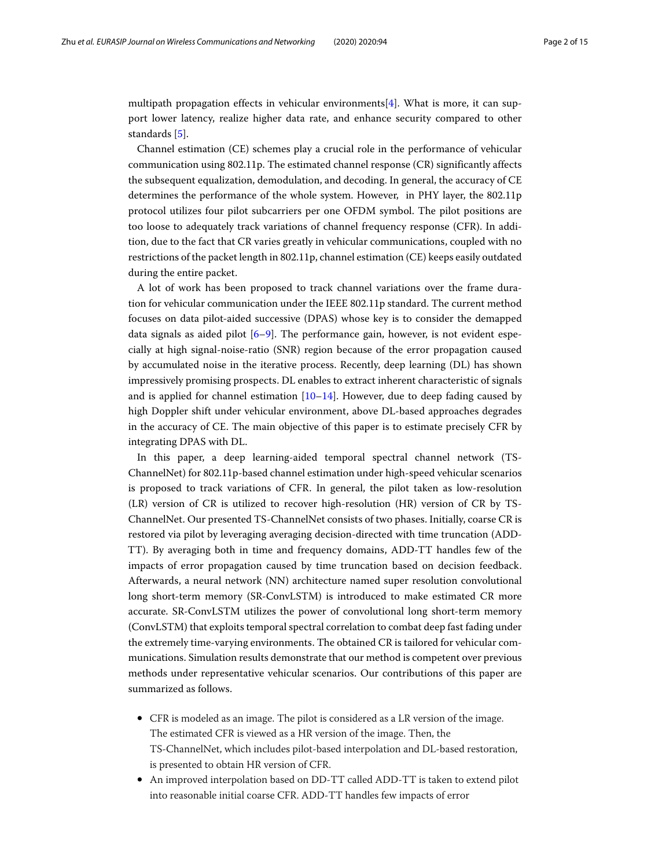multipath propagation effects in vehicular environments[\[4\]](#page-13-3). What is more, it can support lower latency, realize higher data rate, and enhance security compared to other standards [\[5\]](#page-13-4).

Channel estimation (CE) schemes play a crucial role in the performance of vehicular communication using 802.11p. The estimated channel response (CR) significantly affects the subsequent equalization, demodulation, and decoding. In general, the accuracy of CE determines the performance of the whole system. However, in PHY layer, the 802.11p protocol utilizes four pilot subcarriers per one OFDM symbol. The pilot positions are too loose to adequately track variations of channel frequency response (CFR). In addition, due to the fact that CR varies greatly in vehicular communications, coupled with no restrictions of the packet length in 802.11p, channel estimation (CE) keeps easily outdated during the entire packet.

A lot of work has been proposed to track channel variations over the frame duration for vehicular communication under the IEEE 802.11p standard. The current method focuses on data pilot-aided successive (DPAS) whose key is to consider the demapped data signals as aided pilot  $[6-9]$  $[6-9]$ . The performance gain, however, is not evident especially at high signal-noise-ratio (SNR) region because of the error propagation caused by accumulated noise in the iterative process. Recently, deep learning (DL) has shown impressively promising prospects. DL enables to extract inherent characteristic of signals and is applied for channel estimation  $[10-14]$  $[10-14]$ . However, due to deep fading caused by high Doppler shift under vehicular environment, above DL-based approaches degrades in the accuracy of CE. The main objective of this paper is to estimate precisely CFR by integrating DPAS with DL.

In this paper, a deep learning-aided temporal spectral channel network (TS-ChannelNet) for 802.11p-based channel estimation under high-speed vehicular scenarios is proposed to track variations of CFR. In general, the pilot taken as low-resolution (LR) version of CR is utilized to recover high-resolution (HR) version of CR by TS-ChannelNet. Our presented TS-ChannelNet consists of two phases. Initially, coarse CR is restored via pilot by leveraging averaging decision-directed with time truncation (ADD-TT). By averaging both in time and frequency domains, ADD-TT handles few of the impacts of error propagation caused by time truncation based on decision feedback. Afterwards, a neural network (NN) architecture named super resolution convolutional long short-term memory (SR-ConvLSTM) is introduced to make estimated CR more accurate. SR-ConvLSTM utilizes the power of convolutional long short-term memory (ConvLSTM) that exploits temporal spectral correlation to combat deep fast fading under the extremely time-varying environments. The obtained CR is tailored for vehicular communications. Simulation results demonstrate that our method is competent over previous methods under representative vehicular scenarios. Our contributions of this paper are summarized as follows.

- CFR is modeled as an image. The pilot is considered as a LR version of the image. The estimated CFR is viewed as a HR version of the image. Then, the TS-ChannelNet, which includes pilot-based interpolation and DL-based restoration, is presented to obtain HR version of CFR.
- An improved interpolation based on DD-TT called ADD-TT is taken to extend pilot into reasonable initial coarse CFR. ADD-TT handles few impacts of error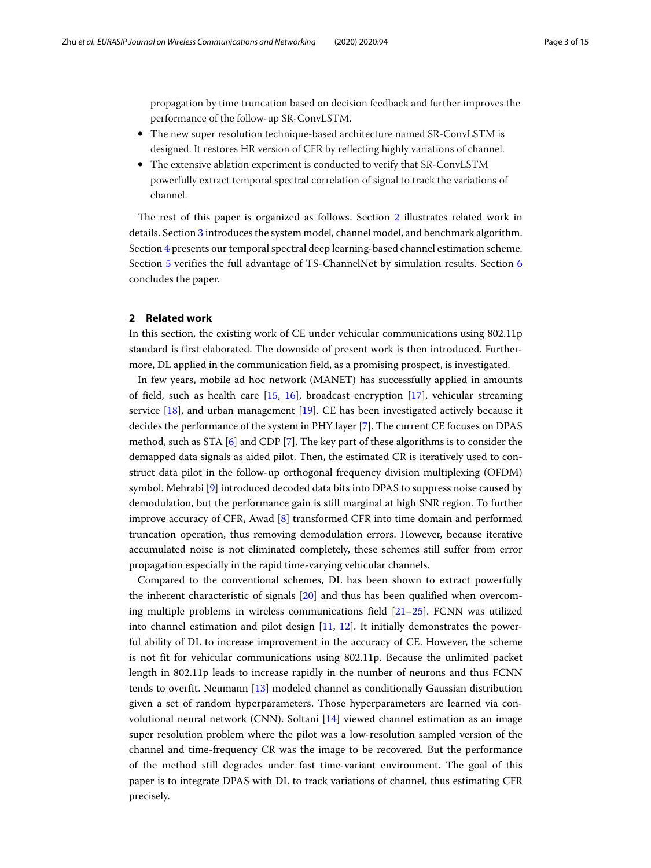propagation by time truncation based on decision feedback and further improves the performance of the follow-up SR-ConvLSTM.

- The new super resolution technique-based architecture named SR-ConvLSTM is designed. It restores HR version of CFR by reflecting highly variations of channel.
- The extensive ablation experiment is conducted to verify that SR-ConvLSTM powerfully extract temporal spectral correlation of signal to track the variations of channel.

The rest of this paper is organized as follows. Section [2](#page-2-0) illustrates related work in details. Section [3](#page-3-0) introduces the system model, channel model, and benchmark algorithm. Section [4](#page-4-0) presents our temporal spectral deep learning-based channel estimation scheme. Section [5](#page-8-0) verifies the full advantage of TS-ChannelNet by simulation results. Section [6](#page-12-0) concludes the paper.

#### <span id="page-2-0"></span>**2 Related work**

In this section, the existing work of CE under vehicular communications using 802.11p standard is first elaborated. The downside of present work is then introduced. Furthermore, DL applied in the communication field, as a promising prospect, is investigated.

In few years, mobile ad hoc network (MANET) has successfully applied in amounts of field, such as health care  $[15, 16]$  $[15, 16]$  $[15, 16]$ , broadcast encryption  $[17]$ , vehicular streaming service [\[18\]](#page-13-12), and urban management [\[19\]](#page-13-13). CE has been investigated actively because it decides the performance of the system in PHY layer [\[7\]](#page-13-14). The current CE focuses on DPAS method, such as STA  $[6]$  and CDP  $[7]$ . The key part of these algorithms is to consider the demapped data signals as aided pilot. Then, the estimated CR is iteratively used to construct data pilot in the follow-up orthogonal frequency division multiplexing (OFDM) symbol. Mehrabi [\[9\]](#page-13-6) introduced decoded data bits into DPAS to suppress noise caused by demodulation, but the performance gain is still marginal at high SNR region. To further improve accuracy of CFR, Awad [\[8\]](#page-13-15) transformed CFR into time domain and performed truncation operation, thus removing demodulation errors. However, because iterative accumulated noise is not eliminated completely, these schemes still suffer from error propagation especially in the rapid time-varying vehicular channels.

Compared to the conventional schemes, DL has been shown to extract powerfully the inherent characteristic of signals [\[20\]](#page-13-16) and thus has been qualified when overcoming multiple problems in wireless communications field  $[21–25]$  $[21–25]$ . FCNN was utilized into channel estimation and pilot design [\[11,](#page-13-18) [12\]](#page-13-19). It initially demonstrates the powerful ability of DL to increase improvement in the accuracy of CE. However, the scheme is not fit for vehicular communications using 802.11p. Because the unlimited packet length in 802.11p leads to increase rapidly in the number of neurons and thus FCNN tends to overfit. Neumann [\[13\]](#page-13-20) modeled channel as conditionally Gaussian distribution given a set of random hyperparameters. Those hyperparameters are learned via convolutional neural network (CNN). Soltani [\[14\]](#page-13-8) viewed channel estimation as an image super resolution problem where the pilot was a low-resolution sampled version of the channel and time-frequency CR was the image to be recovered. But the performance of the method still degrades under fast time-variant environment. The goal of this paper is to integrate DPAS with DL to track variations of channel, thus estimating CFR precisely.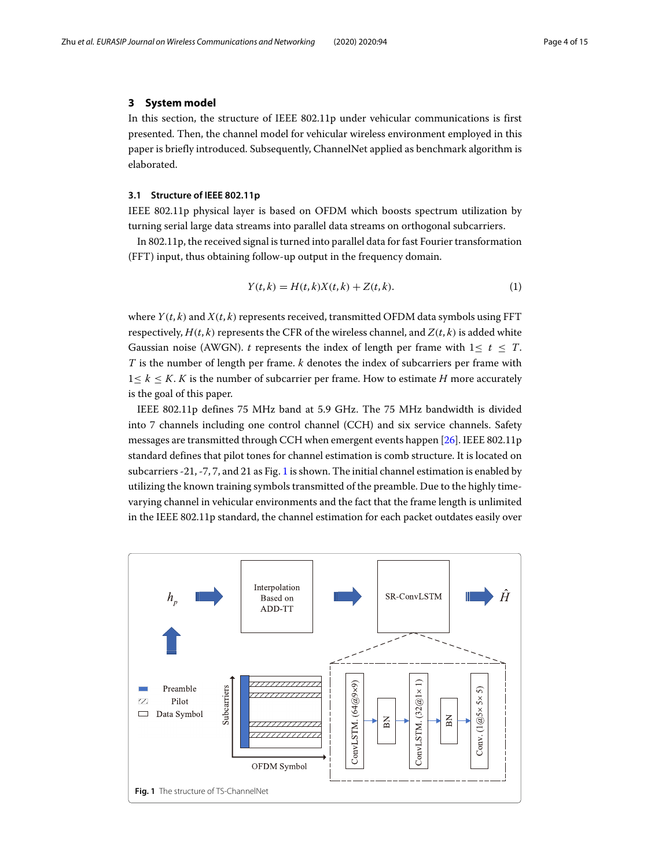#### <span id="page-3-0"></span>**3 System model**

In this section, the structure of IEEE 802.11p under vehicular communications is first presented. Then, the channel model for vehicular wireless environment employed in this paper is briefly introduced. Subsequently, ChannelNet applied as benchmark algorithm is elaborated.

#### **3.1 Structure of IEEE 802.11p**

IEEE 802.11p physical layer is based on OFDM which boosts spectrum utilization by turning serial large data streams into parallel data streams on orthogonal subcarriers.

In 802.11p, the received signal is turned into parallel data for fast Fourier transformation (FFT) input, thus obtaining follow-up output in the frequency domain.

$$
Y(t,k) = H(t,k)X(t,k) + Z(t,k).
$$
\n<sup>(1)</sup>

where  $Y(t, k)$  and  $X(t, k)$  represents received, transmitted OFDM data symbols using FFT respectively,  $H(t, k)$  represents the CFR of the wireless channel, and  $Z(t, k)$  is added white Gaussian noise (AWGN). *t* represents the index of length per frame with  $1 \le t \le T$ . *T* is the number of length per frame. *k* denotes the index of subcarriers per frame with  $1 \leq k \leq K$ . *K* is the number of subcarrier per frame. How to estimate *H* more accurately is the goal of this paper.

IEEE 802.11p defines 75 MHz band at 5.9 GHz. The 75 MHz bandwidth is divided into 7 channels including one control channel (CCH) and six service channels. Safety messages are transmitted through CCH when emergent events happen [\[26\]](#page-14-1). IEEE 802.11p standard defines that pilot tones for channel estimation is comb structure. It is located on subcarriers -21, -7, 7, and 21 as Fig. [1](#page-3-1) is shown. The initial channel estimation is enabled by utilizing the known training symbols transmitted of the preamble. Due to the highly timevarying channel in vehicular environments and the fact that the frame length is unlimited in the IEEE 802.11p standard, the channel estimation for each packet outdates easily over

<span id="page-3-1"></span>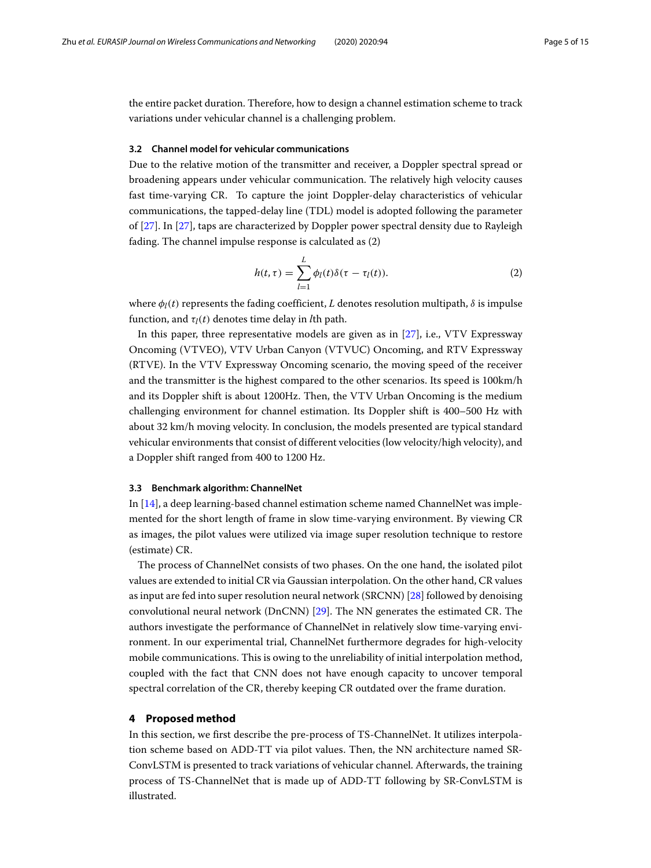the entire packet duration. Therefore, how to design a channel estimation scheme to track variations under vehicular channel is a challenging problem.

#### **3.2 Channel model for vehicular communications**

Due to the relative motion of the transmitter and receiver, a Doppler spectral spread or broadening appears under vehicular communication. The relatively high velocity causes fast time-varying CR. To capture the joint Doppler-delay characteristics of vehicular communications, the tapped-delay line (TDL) model is adopted following the parameter of [\[27\]](#page-14-2). In [\[27\]](#page-14-2), taps are characterized by Doppler power spectral density due to Rayleigh fading. The channel impulse response is calculated as (2)

$$
h(t,\tau) = \sum_{l=1}^{L} \phi_l(t)\delta(\tau - \tau_l(t)).
$$
\n(2)

where  $\phi_l(t)$  represents the fading coefficient, *L* denotes resolution multipath,  $\delta$  is impulse function, and  $\tau_l(t)$  denotes time delay in *l*th path.

In this paper, three representative models are given as in [\[27\]](#page-14-2), i.e., VTV Expressway Oncoming (VTVEO), VTV Urban Canyon (VTVUC) Oncoming, and RTV Expressway (RTVE). In the VTV Expressway Oncoming scenario, the moving speed of the receiver and the transmitter is the highest compared to the other scenarios. Its speed is 100km/h and its Doppler shift is about 1200Hz. Then, the VTV Urban Oncoming is the medium challenging environment for channel estimation. Its Doppler shift is 400–500 Hz with about 32 km/h moving velocity. In conclusion, the models presented are typical standard vehicular environments that consist of different velocities (low velocity/high velocity), and a Doppler shift ranged from 400 to 1200 Hz.

#### **3.3 Benchmark algorithm: ChannelNet**

In [\[14\]](#page-13-8), a deep learning-based channel estimation scheme named ChannelNet was implemented for the short length of frame in slow time-varying environment. By viewing CR as images, the pilot values were utilized via image super resolution technique to restore (estimate) CR.

The process of ChannelNet consists of two phases. On the one hand, the isolated pilot values are extended to initial CR via Gaussian interpolation. On the other hand, CR values as input are fed into super resolution neural network (SRCNN) [\[28\]](#page-14-3) followed by denoising convolutional neural network (DnCNN) [\[29\]](#page-14-4). The NN generates the estimated CR. The authors investigate the performance of ChannelNet in relatively slow time-varying environment. In our experimental trial, ChannelNet furthermore degrades for high-velocity mobile communications. This is owing to the unreliability of initial interpolation method, coupled with the fact that CNN does not have enough capacity to uncover temporal spectral correlation of the CR, thereby keeping CR outdated over the frame duration.

#### <span id="page-4-0"></span>**4 Proposed method**

In this section, we first describe the pre-process of TS-ChannelNet. It utilizes interpolation scheme based on ADD-TT via pilot values. Then, the NN architecture named SR-ConvLSTM is presented to track variations of vehicular channel. Afterwards, the training process of TS-ChannelNet that is made up of ADD-TT following by SR-ConvLSTM is illustrated.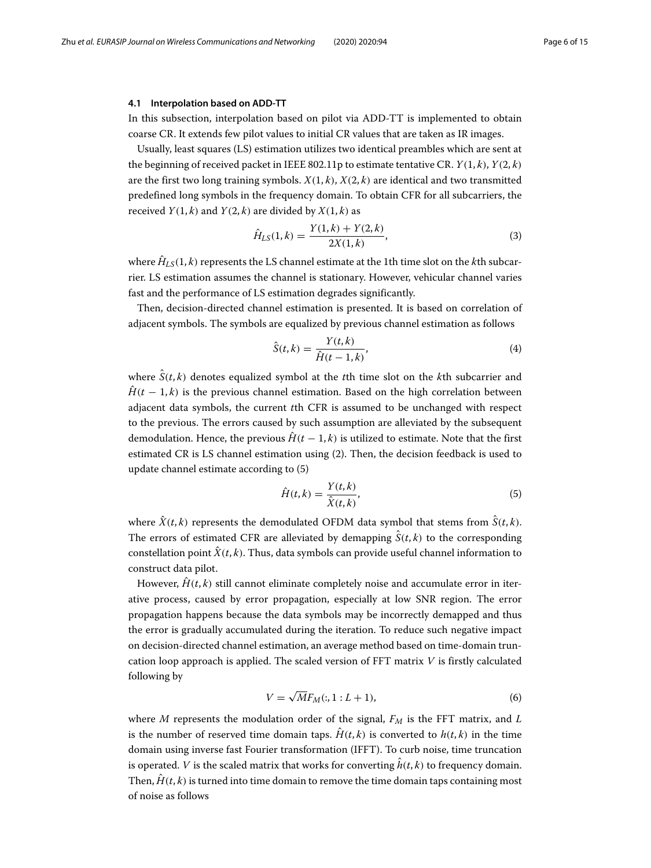#### **4.1 Interpolation based on ADD-TT**

In this subsection, interpolation based on pilot via ADD-TT is implemented to obtain coarse CR. It extends few pilot values to initial CR values that are taken as IR images.

Usually, least squares (LS) estimation utilizes two identical preambles which are sent at the beginning of received packet in IEEE 802.11p to estimate tentative CR. *Y*(1, *k*), *Y*(2, *k*) are the first two long training symbols.  $X(1, k)$ ,  $X(2, k)$  are identical and two transmitted predefined long symbols in the frequency domain. To obtain CFR for all subcarriers, the received  $Y(1, k)$  and  $Y(2, k)$  are divided by  $X(1, k)$  as

$$
\hat{H}_{LS}(1,k) = \frac{Y(1,k) + Y(2,k)}{2X(1,k)},
$$
\n(3)

where  $\hat{H}_{LS}(1, k)$  represents the LS channel estimate at the 1th time slot on the *k*th subcarrier. LS estimation assumes the channel is stationary. However, vehicular channel varies fast and the performance of LS estimation degrades significantly.

Then, decision-directed channel estimation is presented. It is based on correlation of adjacent symbols. The symbols are equalized by previous channel estimation as follows

$$
\hat{S}(t,k) = \frac{Y(t,k)}{\hat{H}(t-1,k)},
$$
\n(4)

where *S*ˆ(*t*, *k*) denotes equalized symbol at the *t*th time slot on the *k*th subcarrier and  $\hat{H}(t-1,k)$  is the previous channel estimation. Based on the high correlation between adjacent data symbols, the current *t*th CFR is assumed to be unchanged with respect to the previous. The errors caused by such assumption are alleviated by the subsequent demodulation. Hence, the previous  $\hat{H}(t-1,k)$  is utilized to estimate. Note that the first estimated CR is LS channel estimation using (2). Then, the decision feedback is used to update channel estimate according to (5)

$$
\hat{H}(t,k) = \frac{Y(t,k)}{\hat{X}(t,k)},
$$
\n(5)

where  $\hat{X}(t, k)$  represents the demodulated OFDM data symbol that stems from  $\hat{S}(t, k)$ . The errors of estimated CFR are alleviated by demapping  $\hat{S}(t, k)$  to the corresponding constellation point  $\hat{X}(t, k)$ . Thus, data symbols can provide useful channel information to construct data pilot.

However,  $\hat{H}(t, k)$  still cannot eliminate completely noise and accumulate error in iterative process, caused by error propagation, especially at low SNR region. The error propagation happens because the data symbols may be incorrectly demapped and thus the error is gradually accumulated during the iteration. To reduce such negative impact on decision-directed channel estimation, an average method based on time-domain truncation loop approach is applied. The scaled version of FFT matrix *V* is firstly calculated following by

$$
V = \sqrt{M}F_M(:, 1:L+1),\tag{6}
$$

where  $M$  represents the modulation order of the signal,  $F_M$  is the FFT matrix, and  $L$ is the number of reserved time domain taps.  $\hat{H}(t, k)$  is converted to  $h(t, k)$  in the time domain using inverse fast Fourier transformation (IFFT). To curb noise, time truncation is operated. *V* is the scaled matrix that works for converting  $\hat{h}(t, k)$  to frequency domain. Then,  $\hat{H}(t, k)$  is turned into time domain to remove the time domain taps containing most of noise as follows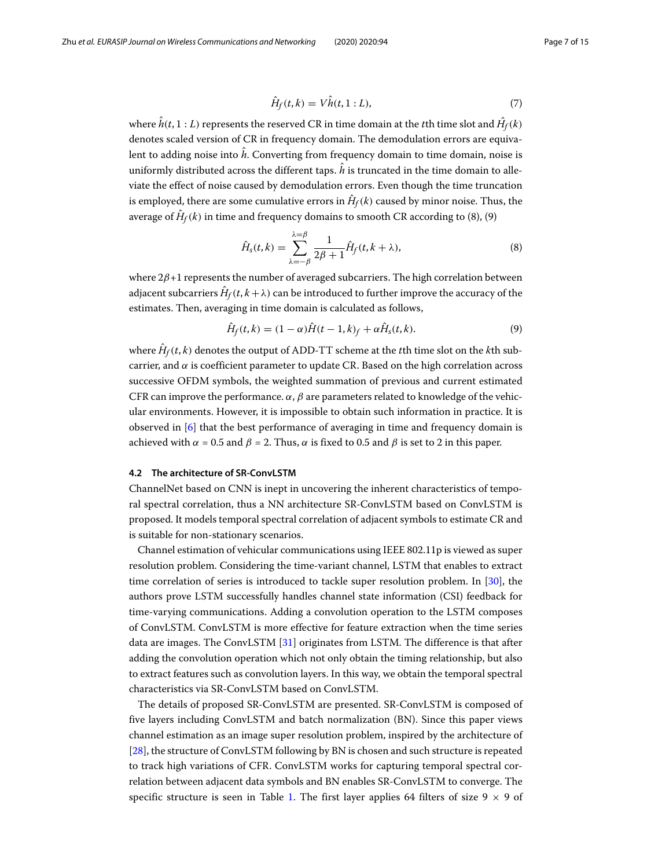$$
\hat{H}_f(t,k) = V\hat{h}(t,1:L),\tag{7}
$$

where  $h(t, 1:L)$  represents the reserved CR in time domain at the  $t$ th time slot and  $H_f(k)$ denotes scaled version of CR in frequency domain. The demodulation errors are equivalent to adding noise into *h*ˆ. Converting from frequency domain to time domain, noise is uniformly distributed across the different taps.  $\hat{h}$  is truncated in the time domain to alleviate the effect of noise caused by demodulation errors. Even though the time truncation is employed, there are some cumulative errors in  $\hat{H}_f(k)$  caused by minor noise. Thus, the average of  $\hat{H}_f(k)$  in time and frequency domains to smooth CR according to (8), (9)

$$
\hat{H}_s(t,k) = \sum_{\lambda=-\beta}^{\lambda=\beta} \frac{1}{2\beta+1} \hat{H}_f(t,k+\lambda),\tag{8}
$$

where  $2\beta+1$  represents the number of averaged subcarriers. The high correlation between adjacent subcarriers  $H_f(t, k + \lambda)$  can be introduced to further improve the accuracy of the estimates. Then, averaging in time domain is calculated as follows,

$$
\hat{H}_f(t,k) = (1-\alpha)\hat{H}(t-1,k)_f + \alpha\hat{H}_s(t,k).
$$
\n(9)

where  $\hat{H}_f(t, k)$  denotes the output of ADD-TT scheme at the *t*th time slot on the *k*th subcarrier, and  $\alpha$  is coefficient parameter to update CR. Based on the high correlation across successive OFDM symbols, the weighted summation of previous and current estimated CFR can improve the performance.  $\alpha$ ,  $\beta$  are parameters related to knowledge of the vehicular environments. However, it is impossible to obtain such information in practice. It is observed in [\[6\]](#page-13-5) that the best performance of averaging in time and frequency domain is achieved with  $\alpha = 0.5$  and  $\beta = 2$ . Thus,  $\alpha$  is fixed to 0.5 and  $\beta$  is set to 2 in this paper.

#### **4.2 The architecture of SR-ConvLSTM**

ChannelNet based on CNN is inept in uncovering the inherent characteristics of temporal spectral correlation, thus a NN architecture SR-ConvLSTM based on ConvLSTM is proposed. It models temporal spectral correlation of adjacent symbols to estimate CR and is suitable for non-stationary scenarios.

Channel estimation of vehicular communications using IEEE 802.11p is viewed as super resolution problem. Considering the time-variant channel, LSTM that enables to extract time correlation of series is introduced to tackle super resolution problem. In [\[30\]](#page-14-5), the authors prove LSTM successfully handles channel state information (CSI) feedback for time-varying communications. Adding a convolution operation to the LSTM composes of ConvLSTM. ConvLSTM is more effective for feature extraction when the time series data are images. The ConvLSTM [\[31\]](#page-14-6) originates from LSTM. The difference is that after adding the convolution operation which not only obtain the timing relationship, but also to extract features such as convolution layers. In this way, we obtain the temporal spectral characteristics via SR-ConvLSTM based on ConvLSTM.

The details of proposed SR-ConvLSTM are presented. SR-ConvLSTM is composed of five layers including ConvLSTM and batch normalization (BN). Since this paper views channel estimation as an image super resolution problem, inspired by the architecture of [\[28\]](#page-14-3), the structure of ConvLSTM following by BN is chosen and such structure is repeated to track high variations of CFR. ConvLSTM works for capturing temporal spectral correlation between adjacent data symbols and BN enables SR-ConvLSTM to converge. The specific structure is seen in Table [1.](#page-7-0) The first layer applies 64 filters of size 9  $\times$  9 of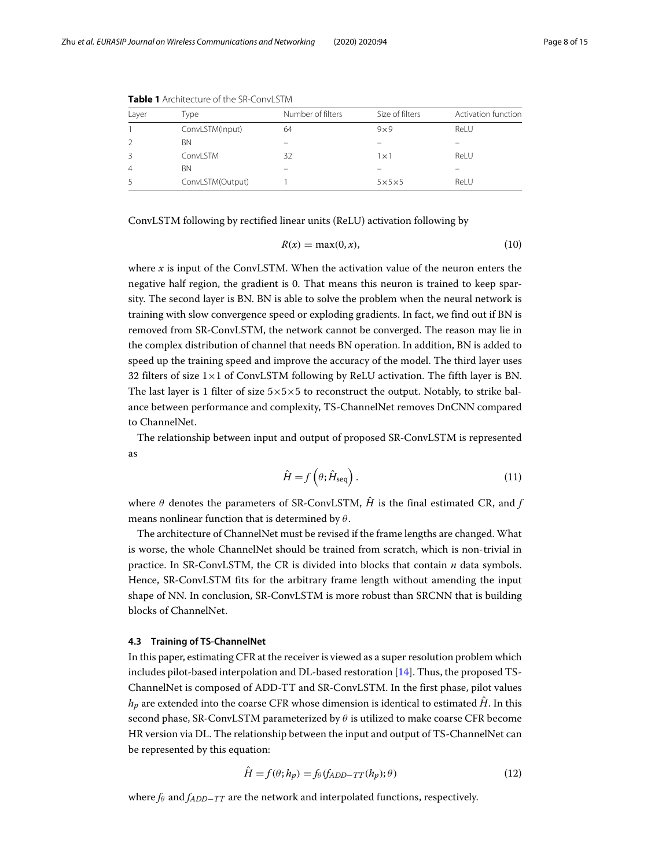| Layer | Type             | Number of filters | Size of filters   | Activation function |
|-------|------------------|-------------------|-------------------|---------------------|
|       | ConvLSTM(Input)  | 64                | $9 \times 9$      | ReLU                |
|       | <b>BN</b>        |                   |                   |                     |
|       | ConvLSTM         | 32                | l x 1             | Rel U               |
| 4     | ΒN               |                   |                   |                     |
|       | ConvLSTM(Output) |                   | $5\times5\times5$ | ReLU                |

<span id="page-7-0"></span>**Table 1** Architecture of the SR-ConvLSTM

ConvLSTM following by rectified linear units (ReLU) activation following by

$$
R(x) = \max(0, x),\tag{10}
$$

where *x* is input of the ConvLSTM. When the activation value of the neuron enters the negative half region, the gradient is 0. That means this neuron is trained to keep sparsity. The second layer is BN. BN is able to solve the problem when the neural network is training with slow convergence speed or exploding gradients. In fact, we find out if BN is removed from SR-ConvLSTM, the network cannot be converged. The reason may lie in the complex distribution of channel that needs BN operation. In addition, BN is added to speed up the training speed and improve the accuracy of the model. The third layer uses 32 filters of size  $1\times1$  of ConvLSTM following by ReLU activation. The fifth layer is BN. The last layer is 1 filter of size  $5\times5\times5$  to reconstruct the output. Notably, to strike balance between performance and complexity, TS-ChannelNet removes DnCNN compared to ChannelNet.

The relationship between input and output of proposed SR-ConvLSTM is represented as

$$
\hat{H} = f\left(\theta; \hat{H}_{\text{seq}}\right). \tag{11}
$$

where  $\theta$  denotes the parameters of SR-ConvLSTM,  $\hat{H}$  is the final estimated CR, and *f* means nonlinear function that is determined by  $\theta$ .

The architecture of ChannelNet must be revised if the frame lengths are changed. What is worse, the whole ChannelNet should be trained from scratch, which is non-trivial in practice. In SR-ConvLSTM, the CR is divided into blocks that contain *n* data symbols. Hence, SR-ConvLSTM fits for the arbitrary frame length without amending the input shape of NN. In conclusion, SR-ConvLSTM is more robust than SRCNN that is building blocks of ChannelNet.

#### **4.3 Training of TS-ChannelNet**

In this paper, estimating CFR at the receiver is viewed as a super resolution problem which includes pilot-based interpolation and DL-based restoration  $[14]$ . Thus, the proposed TS-ChannelNet is composed of ADD-TT and SR-ConvLSTM. In the first phase, pilot values  $h_p$  are extended into the coarse CFR whose dimension is identical to estimated  $\hat{H}$ . In this second phase, SR-ConvLSTM parameterized by  $\theta$  is utilized to make coarse CFR become HR version via DL. The relationship between the input and output of TS-ChannelNet can be represented by this equation:

$$
\hat{H} = f(\theta; h_p) = f_{\theta}(f_{ADD-TT}(h_p); \theta)
$$
\n(12)

where  $f_{\theta}$  and  $f_{ADD-TT}$  are the network and interpolated functions, respectively.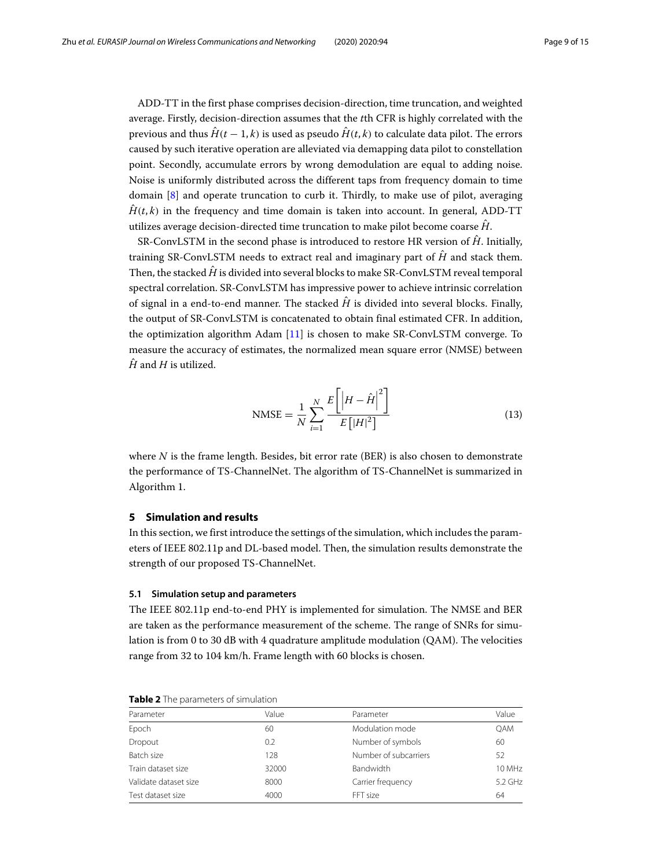ADD-TT in the first phase comprises decision-direction, time truncation, and weighted average. Firstly, decision-direction assumes that the *t*th CFR is highly correlated with the previous and thus  $\hat{H}(t-1,k)$  is used as pseudo  $\hat{H}(t,k)$  to calculate data pilot. The errors caused by such iterative operation are alleviated via demapping data pilot to constellation point. Secondly, accumulate errors by wrong demodulation are equal to adding noise. Noise is uniformly distributed across the different taps from frequency domain to time domain [\[8\]](#page-13-15) and operate truncation to curb it. Thirdly, to make use of pilot, averaging  $\hat{H}(t, k)$  in the frequency and time domain is taken into account. In general, ADD-TT utilizes average decision-directed time truncation to make pilot become coarse  $\hat{H}$ .

SR-ConvLSTM in the second phase is introduced to restore HR version of  $\hat{H}$ . Initially, training SR-ConvLSTM needs to extract real and imaginary part of  $\hat{H}$  and stack them. Then, the stacked  $\hat{H}$  is divided into several blocks to make SR-ConvLSTM reveal temporal spectral correlation. SR-ConvLSTM has impressive power to achieve intrinsic correlation of signal in a end-to-end manner. The stacked  $\hat{H}$  is divided into several blocks. Finally, the output of SR-ConvLSTM is concatenated to obtain final estimated CFR. In addition, the optimization algorithm Adam [\[11\]](#page-13-18) is chosen to make SR-ConvLSTM converge. To measure the accuracy of estimates, the normalized mean square error (NMSE) between  $\hat{H}$  and  $H$  is utilized.

$$
\text{NMSE} = \frac{1}{N} \sum_{i=1}^{N} \frac{E\left[ \left| H - \hat{H} \right|^{2} \right]}{E\left[ |H|^{2} \right]}
$$
(13)

where *N* is the frame length. Besides, bit error rate (BER) is also chosen to demonstrate the performance of TS-ChannelNet. The algorithm of TS-ChannelNet is summarized in Algorithm 1.

#### <span id="page-8-0"></span>**5 Simulation and results**

In this section, we first introduce the settings of the simulation, which includes the parameters of IEEE 802.11p and DL-based model. Then, the simulation results demonstrate the strength of our proposed TS-ChannelNet.

#### **5.1 Simulation setup and parameters**

The IEEE 802.11p end-to-end PHY is implemented for simulation. The NMSE and BER are taken as the performance measurement of the scheme. The range of SNRs for simulation is from 0 to 30 dB with 4 quadrature amplitude modulation (QAM). The velocities range from 32 to 104 km/h. Frame length with 60 blocks is chosen.

| Parameter             | Value | Parameter             | Value   |  |
|-----------------------|-------|-----------------------|---------|--|
| Epoch                 | 60    | Modulation mode       | OAM     |  |
| Dropout               | 0.2   | Number of symbols     | 60      |  |
| Batch size            | 128   | Number of subcarriers | 52      |  |
| Train dataset size    | 32000 | Bandwidth             | 10 MHz  |  |
| Validate dataset size | 8000  | Carrier frequency     | 5.2 GHz |  |
| Test dataset size     | 4000  | FFT size              | 64      |  |

<span id="page-8-1"></span>**Table 2** The parameters of simulation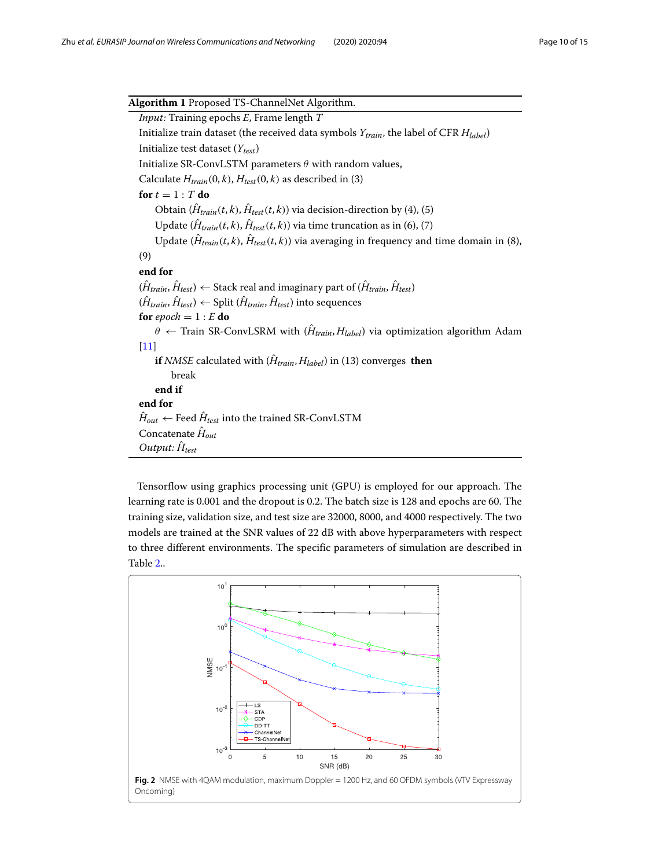$\overline{a}$ 

| Algorithm 1 Proposed TS-ChannelNet Algorithm.                                                                       |  |  |  |  |
|---------------------------------------------------------------------------------------------------------------------|--|--|--|--|
| <i>Input:</i> Training epochs E, Frame length T                                                                     |  |  |  |  |
| Initialize train dataset (the received data symbols $Y_{train}$ , the label of CFR $H_{label}$ )                    |  |  |  |  |
| Initialize test dataset $(Y_{test})$                                                                                |  |  |  |  |
| Initialize SR-ConvLSTM parameters $\theta$ with random values,                                                      |  |  |  |  |
| Calculate $H_{train}(0, k)$ , $H_{test}(0, k)$ as described in (3)                                                  |  |  |  |  |
| for $t = 1$ : T do                                                                                                  |  |  |  |  |
| Obtain $(\hat{H}_{train}(t, k), \hat{H}_{test}(t, k))$ via decision-direction by (4), (5)                           |  |  |  |  |
| Update $(\hat{H}_{train}(t, k), \hat{H}_{test}(t, k))$ via time truncation as in (6), (7)                           |  |  |  |  |
| Update $(\hat{H}_{train}(t, k), \hat{H}_{test}(t, k))$ via averaging in frequency and time domain in (8),           |  |  |  |  |
| (9)                                                                                                                 |  |  |  |  |
| end for                                                                                                             |  |  |  |  |
| $(\hat{H}_{train}, \hat{H}_{test}) \leftarrow$ Stack real and imaginary part of $(\hat{H}_{train}, \hat{H}_{test})$ |  |  |  |  |
| $(\hat{H}_{train}, \hat{H}_{test}) \leftarrow$ Split $(\hat{H}_{train}, \hat{H}_{test})$ into sequences             |  |  |  |  |
| for epoch = $1 : E$ do                                                                                              |  |  |  |  |
| $\theta \leftarrow$ Train SR-ConvLSRM with $(\hat{H}_{train}, H_{label})$ via optimization algorithm Adam           |  |  |  |  |
| $[11]$                                                                                                              |  |  |  |  |
| <b>if</b> <i>NMSE</i> calculated with $(H_{train}, H_{label})$ in (13) converges then                               |  |  |  |  |
| break                                                                                                               |  |  |  |  |
| end if                                                                                                              |  |  |  |  |
| end for                                                                                                             |  |  |  |  |
| $\hat{H}_{out} \leftarrow$ Feed $\hat{H}_{test}$ into the trained SR-ConvLSTM                                       |  |  |  |  |
| Concatenate $\hat{H}_{out}$                                                                                         |  |  |  |  |
| Output: $\hat{H}_{test}$                                                                                            |  |  |  |  |

Tensorflow using graphics processing unit (GPU) is employed for our approach. The learning rate is 0.001 and the dropout is 0.2. The batch size is 128 and epochs are 60. The training size, validation size, and test size are 32000, 8000, and 4000 respectively. The two models are trained at the SNR values of 22 dB with above hyperparameters with respect to three different environments. The specific parameters of simulation are described in Table [2.](#page-8-1).

<span id="page-9-0"></span>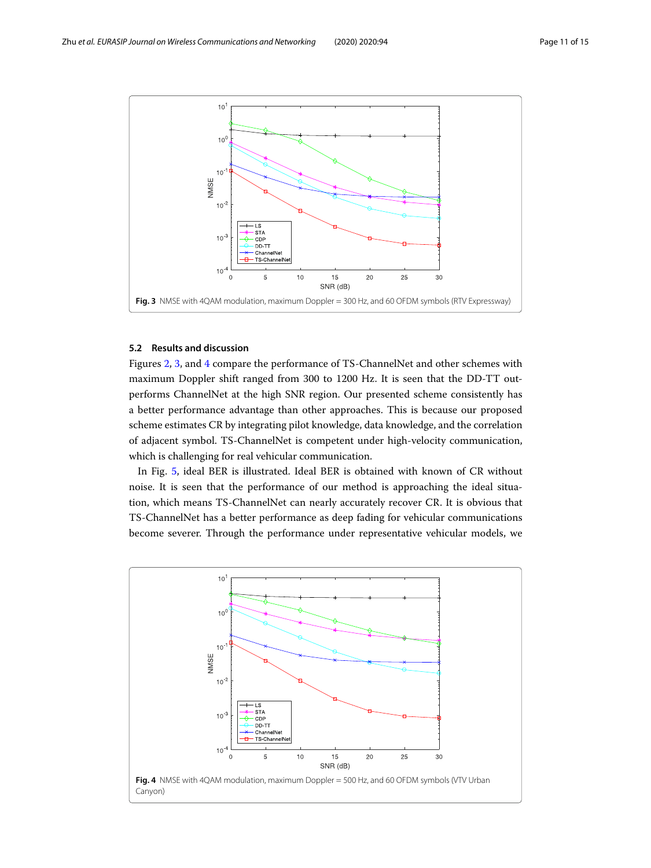

#### <span id="page-10-0"></span>**5.2 Results and discussion**

Figures [2,](#page-9-0) [3,](#page-10-0) and [4](#page-10-1) compare the performance of TS-ChannelNet and other schemes with maximum Doppler shift ranged from 300 to 1200 Hz. It is seen that the DD-TT outperforms ChannelNet at the high SNR region. Our presented scheme consistently has a better performance advantage than other approaches. This is because our proposed scheme estimates CR by integrating pilot knowledge, data knowledge, and the correlation of adjacent symbol. TS-ChannelNet is competent under high-velocity communication, which is challenging for real vehicular communication.

In Fig. [5,](#page-11-0) ideal BER is illustrated. Ideal BER is obtained with known of CR without noise. It is seen that the performance of our method is approaching the ideal situation, which means TS-ChannelNet can nearly accurately recover CR. It is obvious that TS-ChannelNet has a better performance as deep fading for vehicular communications become severer. Through the performance under representative vehicular models, we

<span id="page-10-1"></span>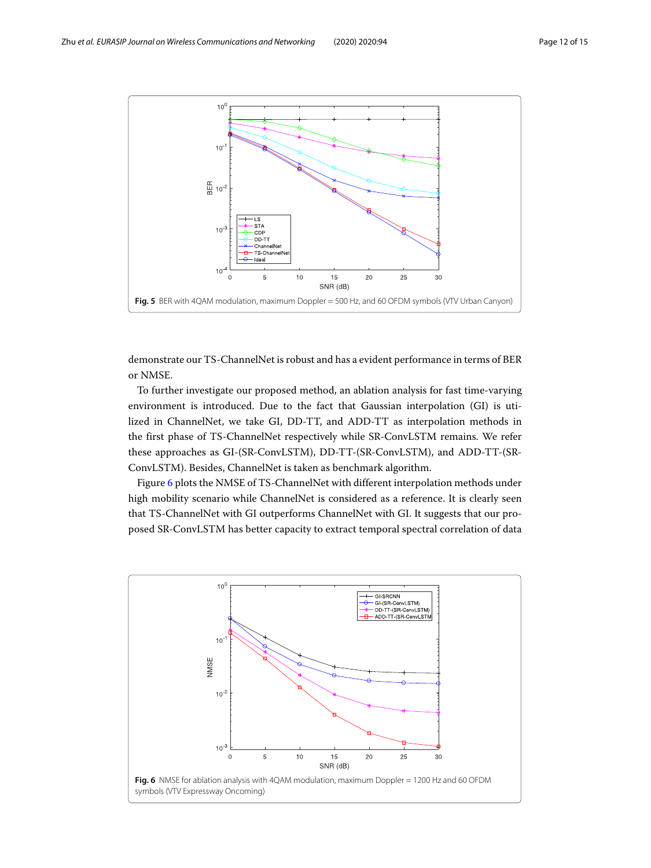

<span id="page-11-0"></span>demonstrate our TS-ChannelNet is robust and has a evident performance in terms of BER or NMSE.

To further investigate our proposed method, an ablation analysis for fast time-varying environment is introduced. Due to the fact that Gaussian interpolation (GI) is utilized in ChannelNet, we take GI, DD-TT, and ADD-TT as interpolation methods in the first phase of TS-ChannelNet respectively while SR-ConvLSTM remains. We refer these approaches as GI-(SR-ConvLSTM), DD-TT-(SR-ConvLSTM), and ADD-TT-(SR-ConvLSTM). Besides, ChannelNet is taken as benchmark algorithm.

Figure [6](#page-11-1) plots the NMSE of TS-ChannelNet with different interpolation methods under high mobility scenario while ChannelNet is considered as a reference. It is clearly seen that TS-ChannelNet with GI outperforms ChannelNet with GI. It suggests that our proposed SR-ConvLSTM has better capacity to extract temporal spectral correlation of data

<span id="page-11-1"></span>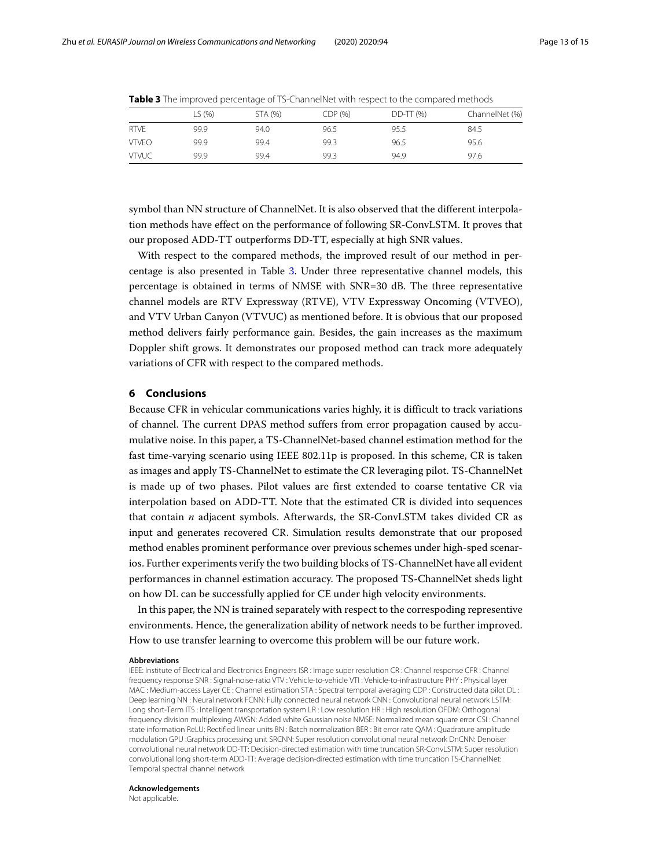|              | ∟S (%) | STA (%) | CDP(%) | $DD-TT$ (%) | ChannelNet (%) |
|--------------|--------|---------|--------|-------------|----------------|
| <b>RTVE</b>  | 99.9   | 94.0    | 96.5   | 95.5        | 84.5           |
| <b>VTVFO</b> | 99.9   | 99.4    | 99.3   | 96.5        | 95.6           |
| <b>VTVUC</b> | 99.9   | 99.4    | 99.3   | 94.9        | 97.6           |

<span id="page-12-1"></span>**Table 3** The improved percentage of TS-ChannelNet with respect to the compared methods

symbol than NN structure of ChannelNet. It is also observed that the different interpolation methods have effect on the performance of following SR-ConvLSTM. It proves that our proposed ADD-TT outperforms DD-TT, especially at high SNR values.

With respect to the compared methods, the improved result of our method in percentage is also presented in Table [3.](#page-12-1) Under three representative channel models, this percentage is obtained in terms of NMSE with SNR=30 dB. The three representative channel models are RTV Expressway (RTVE), VTV Expressway Oncoming (VTVEO), and VTV Urban Canyon (VTVUC) as mentioned before. It is obvious that our proposed method delivers fairly performance gain. Besides, the gain increases as the maximum Doppler shift grows. It demonstrates our proposed method can track more adequately variations of CFR with respect to the compared methods.

#### <span id="page-12-0"></span>**6 Conclusions**

Because CFR in vehicular communications varies highly, it is difficult to track variations of channel. The current DPAS method suffers from error propagation caused by accumulative noise. In this paper, a TS-ChannelNet-based channel estimation method for the fast time-varying scenario using IEEE 802.11p is proposed. In this scheme, CR is taken as images and apply TS-ChannelNet to estimate the CR leveraging pilot. TS-ChannelNet is made up of two phases. Pilot values are first extended to coarse tentative CR via interpolation based on ADD-TT. Note that the estimated CR is divided into sequences that contain *n* adjacent symbols. Afterwards, the SR-ConvLSTM takes divided CR as input and generates recovered CR. Simulation results demonstrate that our proposed method enables prominent performance over previous schemes under high-sped scenarios. Further experiments verify the two building blocks of TS-ChannelNet have all evident performances in channel estimation accuracy. The proposed TS-ChannelNet sheds light on how DL can be successfully applied for CE under high velocity environments.

In this paper, the NN is trained separately with respect to the correspoding representive environments. Hence, the generalization ability of network needs to be further improved. How to use transfer learning to overcome this problem will be our future work.

#### **Abbreviations**

IEEE: Institute of Electrical and Electronics Engineers ISR : Image super resolution CR : Channel response CFR : Channel frequency response SNR : Signal-noise-ratio VTV : Vehicle-to-vehicle VTI : Vehicle-to-infrastructure PHY : Physical layer MAC : Medium-access Layer CE : Channel estimation STA : Spectral temporal averaging CDP : Constructed data pilot DL : Deep learning NN : Neural network FCNN: Fully connected neural network CNN : Convolutional neural network LSTM: Long short-Term ITS : Intelligent transportation system LR : Low resolution HR : High resolution OFDM: Orthogonal frequency division multiplexing AWGN: Added white Gaussian noise NMSE: Normalized mean square error CSI : Channel state information ReLU: Rectified linear units BN : Batch normalization BER : Bit error rate QAM : Quadrature amplitude modulation GPU :Graphics processing unit SRCNN: Super resolution convolutional neural network DnCNN: Denoiser convolutional neural network DD-TT: Decision-directed estimation with time truncation SR-ConvLSTM: Super resolution convolutional long short-term ADD-TT: Average decision-directed estimation with time truncation TS-ChannelNet: Temporal spectral channel network

#### **Acknowledgements**

Not applicable.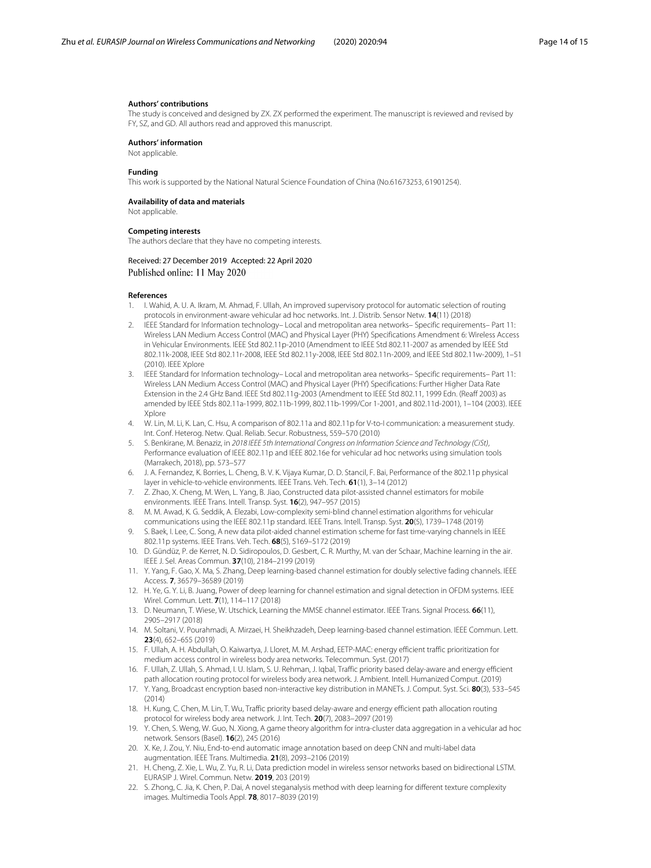#### **Authors' contributions**

The study is conceived and designed by ZX. ZX performed the experiment. The manuscript is reviewed and revised by FY, SZ, and GD. All authors read and approved this manuscript.

#### **Authors' information**

Not applicable.

#### **Funding**

This work is supported by the National Natural Science Foundation of China (No.61673253, 61901254).

#### **Availability of data and materials**

Not applicable.

#### **Competing interests**

The authors declare that they have no competing interests.

#### Received: 27 December 2019 Accepted: 22 April 2020 Published online: 11 May 2020

#### **References**

- <span id="page-13-0"></span>1. I. Wahid, A. U. A. Ikram, M. Ahmad, F. Ullah, An improved supervisory protocol for automatic selection of routing protocols in environment-aware vehicular ad hoc networks. Int. J. Distrib. Sensor Netw. **14**(11) (2018)
- <span id="page-13-1"></span>2. IEEE Standard for Information technology– Local and metropolitan area networks– Specific requirements– Part 11: Wireless LAN Medium Access Control (MAC) and Physical Layer (PHY) Specifications Amendment 6: Wireless Access in Vehicular Environments. IEEE Std 802.11p-2010 (Amendment to IEEE Std 802.11-2007 as amended by IEEE Std 802.11k-2008, IEEE Std 802.11r-2008, IEEE Std 802.11y-2008, IEEE Std 802.11n-2009, and IEEE Std 802.11w-2009), 1–51 (2010). IEEE Xplore
- <span id="page-13-2"></span>3. IEEE Standard for Information technology– Local and metropolitan area networks– Specific requirements– Part 11: Wireless LAN Medium Access Control (MAC) and Physical Layer (PHY) Specifications: Further Higher Data Rate Extension in the 2.4 GHz Band. IEEE Std 802.11g-2003 (Amendment to IEEE Std 802.11, 1999 Edn. (Reaff 2003) as amended by IEEE Stds 802.11a-1999, 802.11b-1999, 802.11b-1999/Cor 1-2001, and 802.11d-2001), 1–104 (2003). IEEE Xplore
- <span id="page-13-3"></span>4. W. Lin, M. Li, K. Lan, C. Hsu, A comparison of 802.11a and 802.11p for V-to-I communication: a measurement study. Int. Conf. Heterog. Netw. Qual. Reliab. Secur. Robustness, 559–570 (2010)
- <span id="page-13-4"></span>5. S. Benkirane, M. Benaziz, in 2018 IEEE 5th International Congress on Information Science and Technology (CiSt), Performance evaluation of IEEE 802.11p and IEEE 802.16e for vehicular ad hoc networks using simulation tools (Marrakech, 2018), pp. 573–577
- <span id="page-13-5"></span>6. J. A. Fernandez, K. Borries, L. Cheng, B. V. K. Vijaya Kumar, D. D. Stancil, F. Bai, Performance of the 802.11p physical layer in vehicle-to-vehicle environments. IEEE Trans. Veh. Tech. **61**(1), 3–14 (2012)
- <span id="page-13-14"></span>7. Z. Zhao, X. Cheng, M. Wen, L. Yang, B. Jiao, Constructed data pilot-assisted channel estimators for mobile environments. IEEE Trans. Intell. Transp. Syst. **16**(2), 947–957 (2015)
- <span id="page-13-15"></span>8. M. M. Awad, K. G. Seddik, A. Elezabi, Low-complexity semi-blind channel estimation algorithms for vehicular communications using the IEEE 802.11p standard. IEEE Trans. Intell. Transp. Syst. **20**(5), 1739–1748 (2019)
- <span id="page-13-6"></span>9. S. Baek, I. Lee, C. Song, A new data pilot-aided channel estimation scheme for fast time-varying channels in IEEE 802.11p systems. IEEE Trans. Veh. Tech. **68**(5), 5169–5172 (2019)
- <span id="page-13-7"></span>10. D. Gündüz, P. de Kerret, N. D. Sidiropoulos, D. Gesbert, C. R. Murthy, M. van der Schaar, Machine learning in the air. IEEE J. Sel. Areas Commun. **37**(10), 2184–2199 (2019)
- <span id="page-13-18"></span>11. Y. Yang, F. Gao, X. Ma, S. Zhang, Deep learning-based channel estimation for doubly selective fading channels. IEEE Access. **7**, 36579–36589 (2019)
- <span id="page-13-19"></span>12. H. Ye, G. Y. Li, B. Juang, Power of deep learning for channel estimation and signal detection in OFDM systems. IEEE Wirel. Commun. Lett. **7**(1), 114–117 (2018)
- <span id="page-13-20"></span>13. D. Neumann, T. Wiese, W. Utschick, Learning the MMSE channel estimator. IEEE Trans. Signal Process. **66**(11), 2905–2917 (2018)
- <span id="page-13-8"></span>14. M. Soltani, V. Pourahmadi, A. Mirzaei, H. Sheikhzadeh, Deep learning-based channel estimation. IEEE Commun. Lett. **23**(4), 652–655 (2019)
- <span id="page-13-9"></span>15. F. Ullah, A. H. Abdullah, O. Kaiwartya, J. Lloret, M. M. Arshad, EETP-MAC: energy efficient traffic prioritization for medium access control in wireless body area networks. Telecommun. Syst. (2017)
- <span id="page-13-10"></span>16. F. Ullah, Z. Ullah, S. Ahmad, I. U. Islam, S. U. Rehman, J. Iqbal, Traffic priority based delay-aware and energy efficient path allocation routing protocol for wireless body area network. J. Ambient. Intell. Humanized Comput. (2019)
- <span id="page-13-11"></span>17. Y. Yang, Broadcast encryption based non-interactive key distribution in MANETs. J. Comput. Syst. Sci. **80**(3), 533–545 (2014)
- <span id="page-13-12"></span>18. H. Kung, C. Chen, M. Lin, T. Wu, Traffic priority based delay-aware and energy efficient path allocation routing protocol for wireless body area network. J. Int. Tech. **20**(7), 2083–2097 (2019)
- <span id="page-13-13"></span>19. Y. Chen, S. Weng, W. Guo, N. Xiong, A game theory algorithm for intra-cluster data aggregation in a vehicular ad hoc network. Sensors (Basel). **16**(2), 245 (2016)
- <span id="page-13-16"></span>20. X. Ke, J. Zou, Y. Niu, End-to-end automatic image annotation based on deep CNN and multi-label data augmentation. IEEE Trans. Multimedia. **21**(8), 2093–2106 (2019)
- <span id="page-13-17"></span>21. H. Cheng, Z. Xie, L. Wu, Z. Yu, R. Li, Data prediction model in wireless sensor networks based on bidirectional LSTM. EURASIP J. Wirel. Commun. Netw. **2019**, 203 (2019)
- 22. S. Zhong, C. Jia, K. Chen, P. Dai, A novel steganalysis method with deep learning for different texture complexity images. Multimedia Tools Appl. **78**, 8017–8039 (2019)